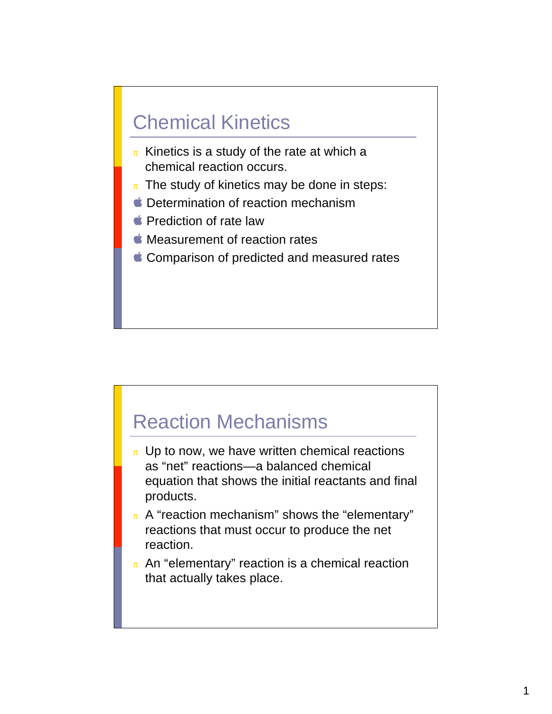#### Chemical Kinetics

- $\pi$  Kinetics is a study of the rate at which a chemical reaction occurs.
- $\pi$  The study of kinetics may be done in steps:
- **C** Determination of reaction mechanism
- **Prediction of rate law**
- **K** Measurement of reaction rates
- Comparison of predicted and measured rates

- $\pi$  Up to now, we have written chemical reactions as "net" reactions—a balanced chemical equation that shows the initial reactants and final products.
- $\pi$  A "reaction mechanism" shows the "elementary" reactions that must occur to produce the net reaction.
- $\pi$  An "elementary" reaction is a chemical reaction that actually takes place.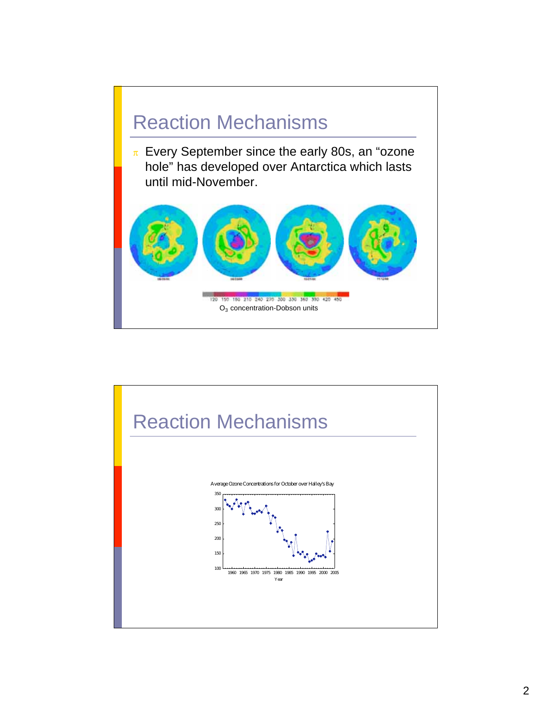

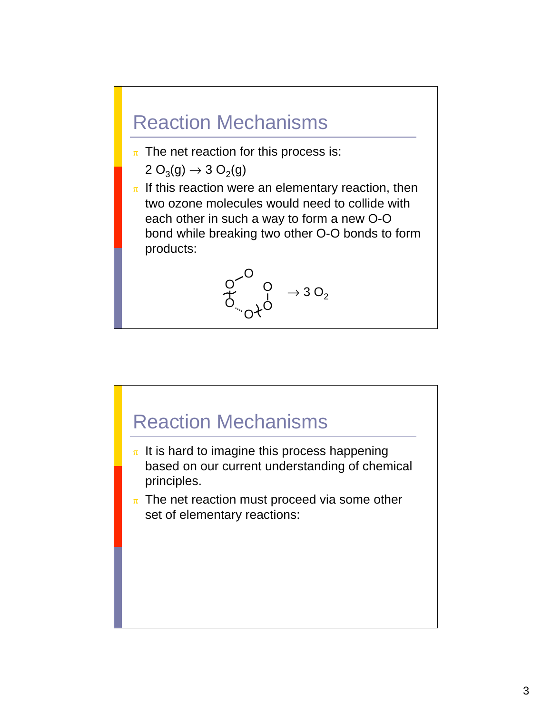- $\pi$  The net reaction for this process is:  $2 O<sub>3</sub>(g) \rightarrow 3 O<sub>2</sub>(g)$
- $\pi$  If this reaction were an elementary reaction, then two ozone molecules would need to collide with each other in such a way to form a new O-O bond while breaking two other O-O bonds to form products:

$$
\begin{matrix}Q^{\prime\ 0}\\Q^{\prime\ 0}\\Q^{\prime\ 0}\end{matrix}\rightarrow 3\,O_2
$$

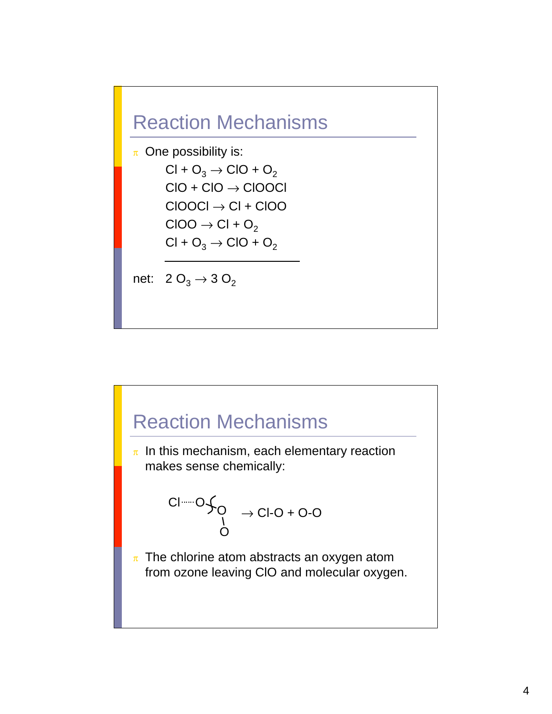

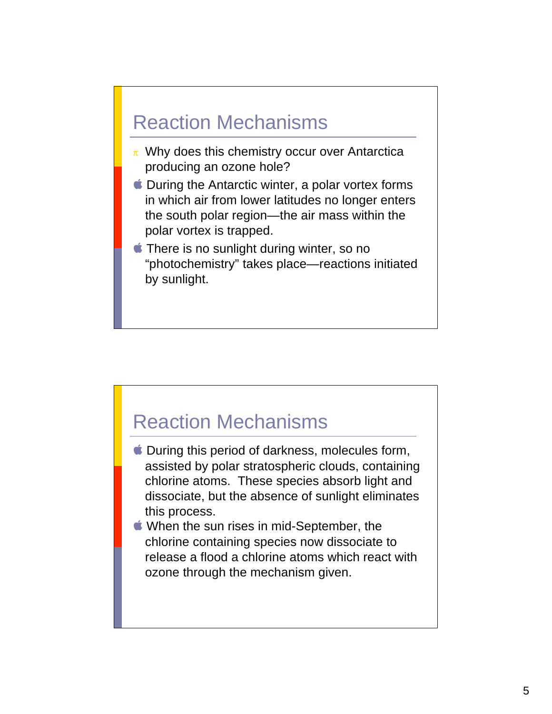#### Reaction Mechanisms

- $\pi$  Why does this chemistry occur over Antarctica producing an ozone hole?
- **Containty During the Antarctic winter, a polar vortex forms** in which air from lower latitudes no longer enters the south polar region—the air mass within the polar vortex is trapped.
- **There is no sunlight during winter, so no** "photochemistry" takes place—reactions initiated by sunlight.

- **Containty During this period of darkness, molecules form,** assisted by polar stratospheric clouds, containing chlorine atoms. These species absorb light and dissociate, but the absence of sunlight eliminates this process.
- When the sun rises in mid-September, the chlorine containing species now dissociate to release a flood a chlorine atoms which react with ozone through the mechanism given.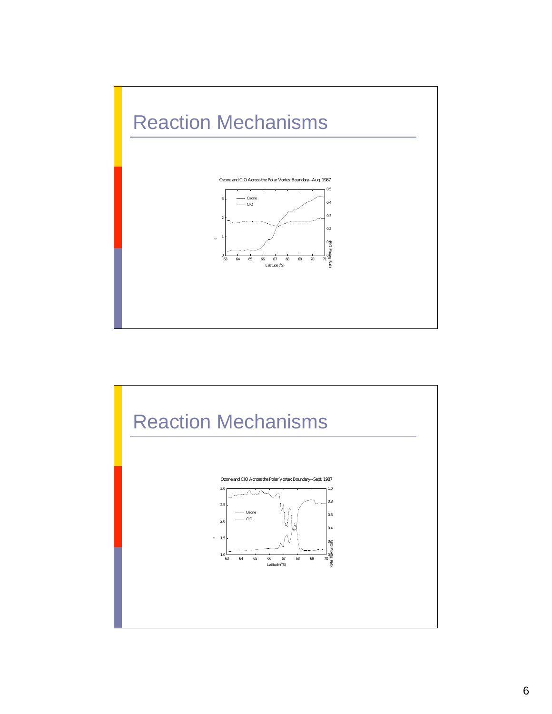

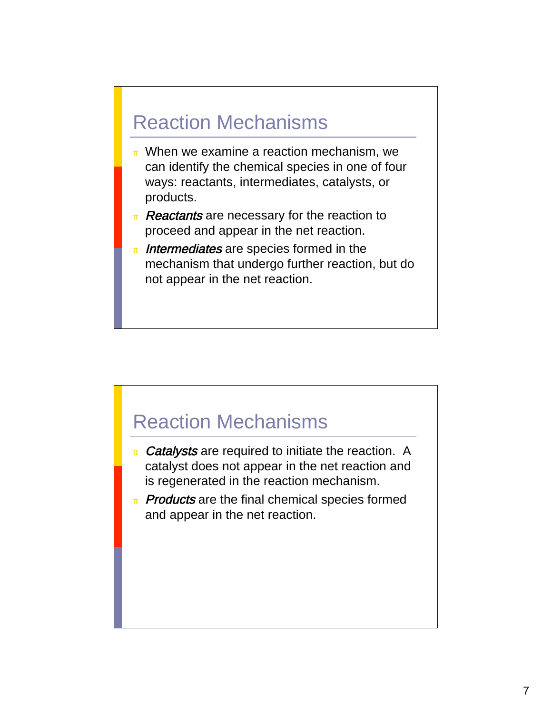#### Reaction Mechanisms

- $\pi$  When we examine a reaction mechanism, we can identify the chemical species in one of four ways: reactants, intermediates, catalysts, or products.
- $\pi$  Reactants are necessary for the reaction to proceed and appear in the net reaction.
- $\pi$  Intermediates are species formed in the mechanism that undergo further reaction, but do not appear in the net reaction.

- $\pi$  Catalysts are required to initiate the reaction. A catalyst does not appear in the net reaction and is regenerated in the reaction mechanism.
- $\pi$  **Products** are the final chemical species formed and appear in the net reaction.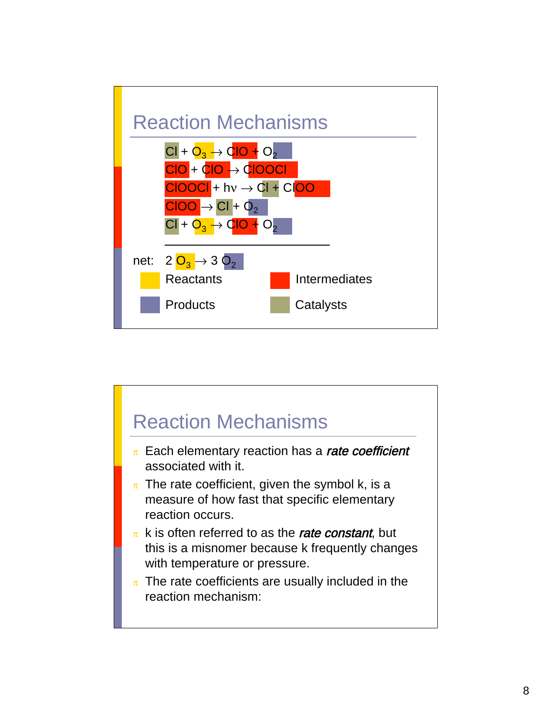

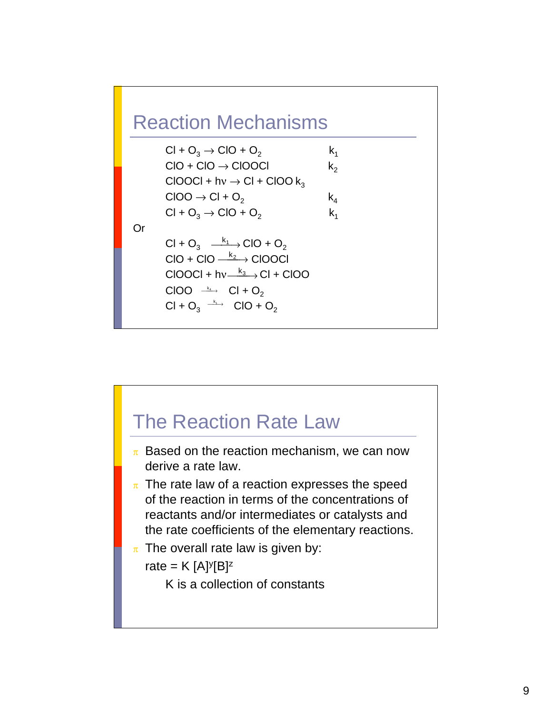

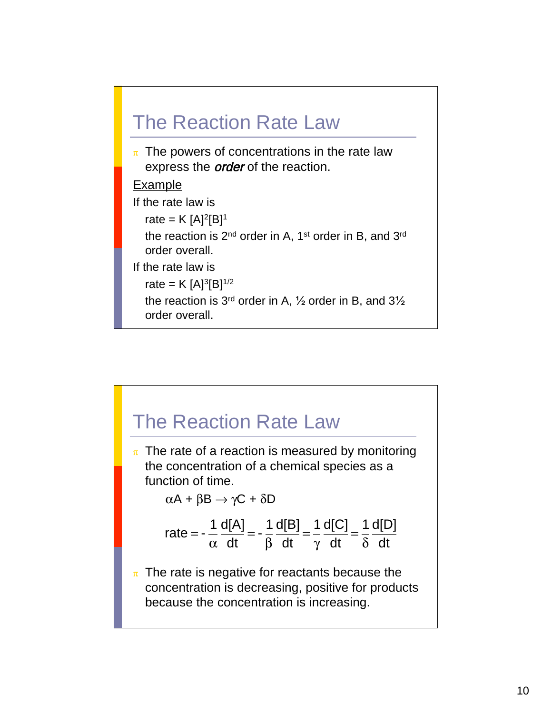

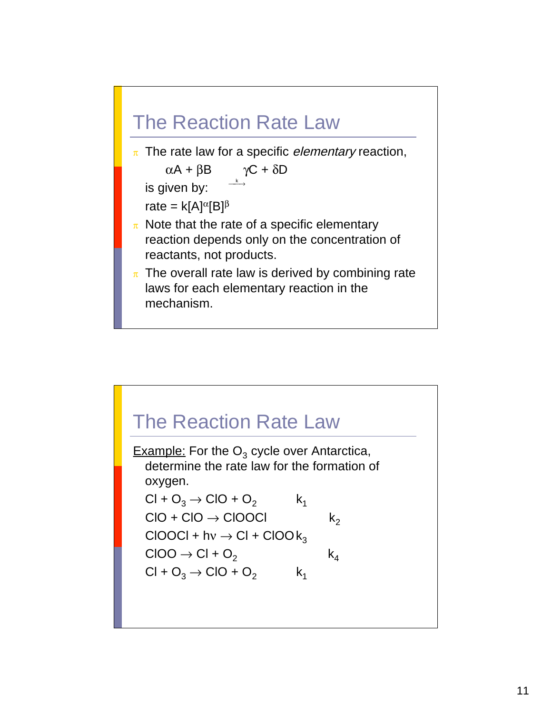

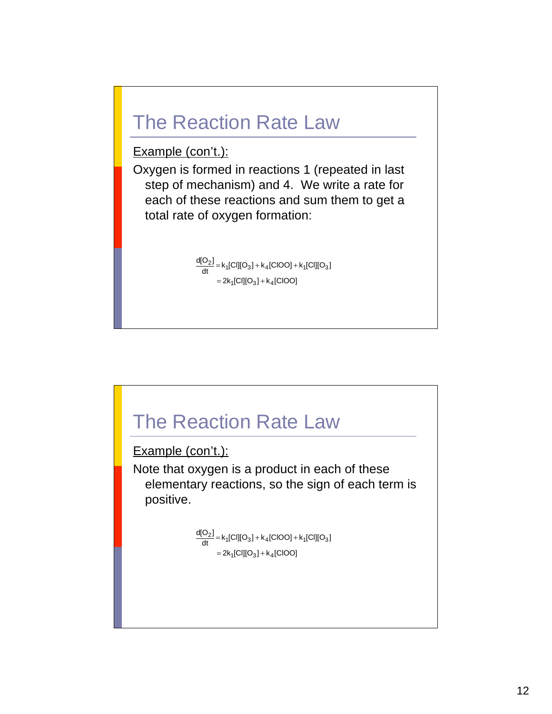#### The Reaction Rate Law

#### Example (con't.):

Oxygen is formed in reactions 1 (repeated in last step of mechanism) and 4. We write a rate for each of these reactions and sum them to get a total rate of oxygen formation:

> $= 2k_1$ [Cl][O $_3$ ] + k $_4$ [ClOO]  $\frac{d[O_2]}{dt}$  = k<sub>1</sub>[Cl][O<sub>3</sub>] + k<sub>4</sub>[ClOO] + k<sub>1</sub>[Cl][O<sub>3</sub>]

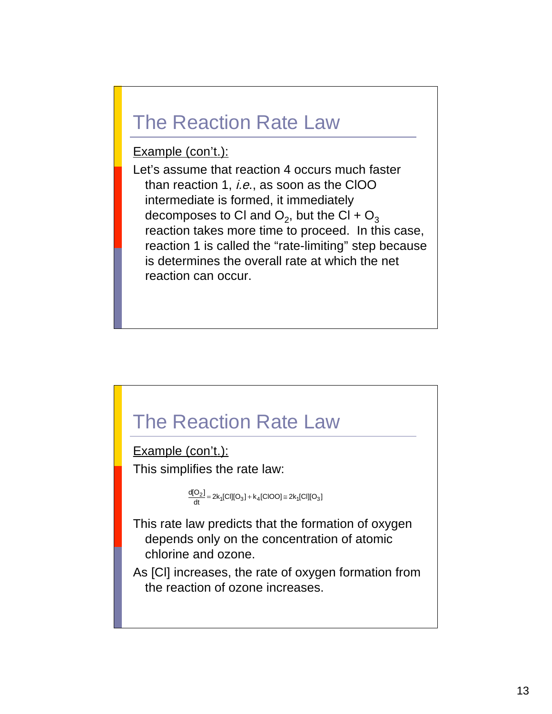#### The Reaction Rate Law

Example (con't.):

Let's assume that reaction 4 occurs much faster than reaction 1, *i.e.*, as soon as the CIOO intermediate is formed, it immediately decomposes to Cl and  $O_2$ , but the Cl +  $O_3$ reaction takes more time to proceed. In this case, reaction 1 is called the "rate-limiting" step because is determines the overall rate at which the net reaction can occur.

#### The Reaction Rate Law

Example (con't.): This simplifies the rate law:

 $\frac{d[O_2]}{dt} = 2k_1 [CI][O_3] + k_4 [CIOO] \cong 2k_1 [CI][O_3]$ 

This rate law predicts that the formation of oxygen depends only on the concentration of atomic chlorine and ozone.

As [Cl] increases, the rate of oxygen formation from the reaction of ozone increases.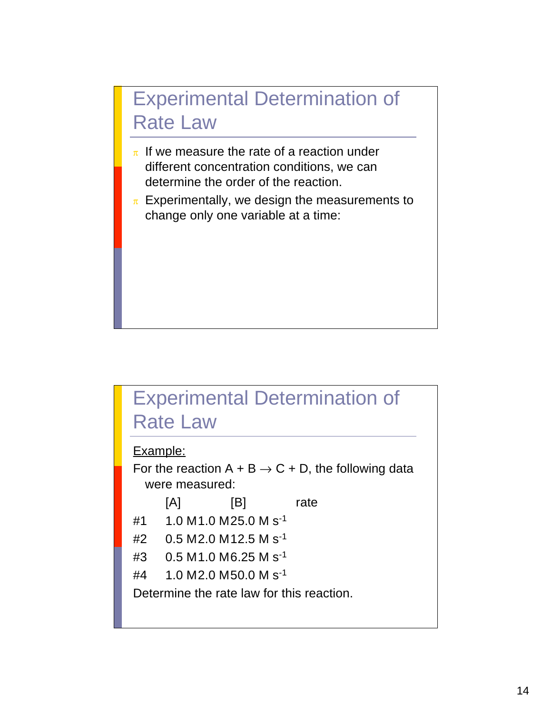- $\pi$  If we measure the rate of a reaction under different concentration conditions, we can determine the order of the reaction.
- $\pi$  Experimentally, we design the measurements to change only one variable at a time:

#### Experimental Determination of Rate Law

Example:

For the reaction  $A + B \rightarrow C + D$ , the following data were measured:

|    | [A] | [B]                                | rate |
|----|-----|------------------------------------|------|
| #1 |     | 1.0 M 1.0 M 25.0 M s <sup>-1</sup> |      |
| #2 |     | $0.5 M2.0 M12.5 M s^{-1}$          |      |
| #3 |     | $0.5 M1.0 M6.25 M s^{-1}$          |      |

#4 1.0 M2.0 M50.0 M s-1

Determine the rate law for this reaction.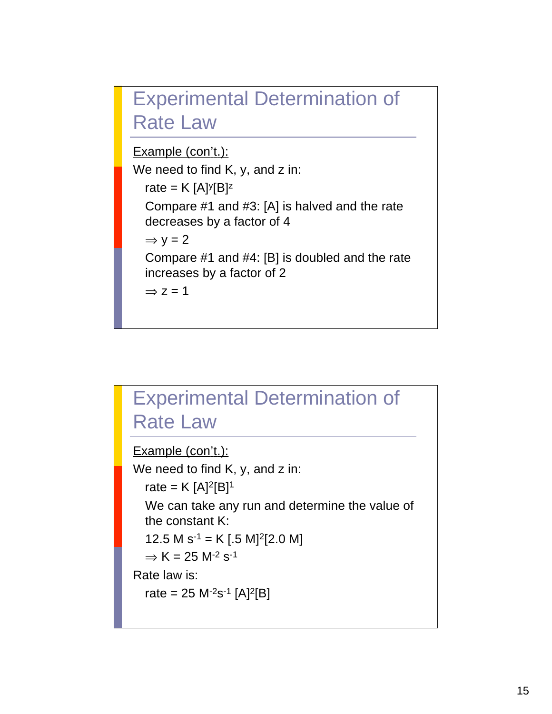



#### Experimental Determination of Rate Law Example (con't.): We need to find K, y, and z in: rate =  $K [A]^2 [B]^1$ We can take any run and determine the value of the constant K: 12.5 M s<sup>-1</sup> = K [.5 M]<sup>2</sup>[2.0 M]  $\Rightarrow$  K = 25 M<sup>-2</sup> s<sup>-1</sup> Rate law is: rate =  $25 \text{ M}^2\text{s}^{-1}$  [A]<sup>2</sup>[B]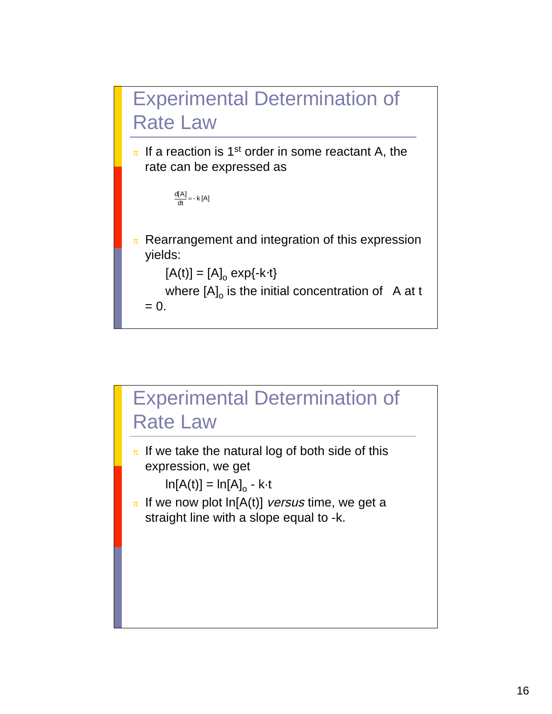

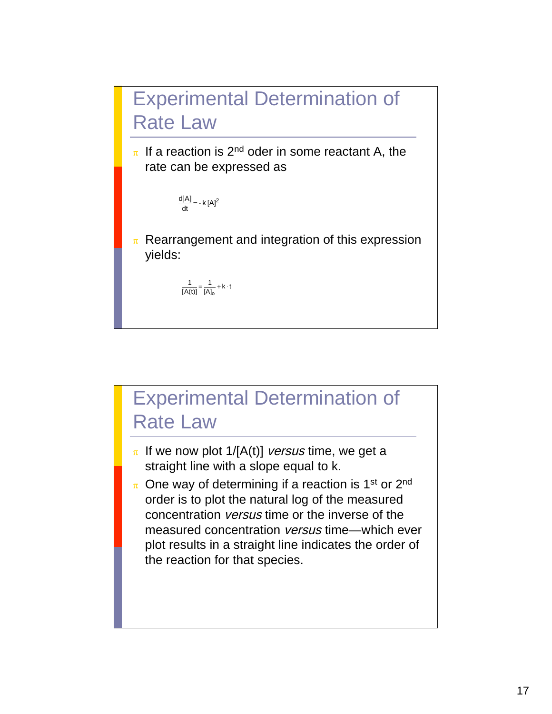

- $\pi$  If we now plot 1/[A(t)] versus time, we get a straight line with a slope equal to k.
- $\pi$  One way of determining if a reaction is 1<sup>st</sup> or 2<sup>nd</sup> order is to plot the natural log of the measured concentration versus time or the inverse of the measured concentration versus time—which ever plot results in a straight line indicates the order of the reaction for that species.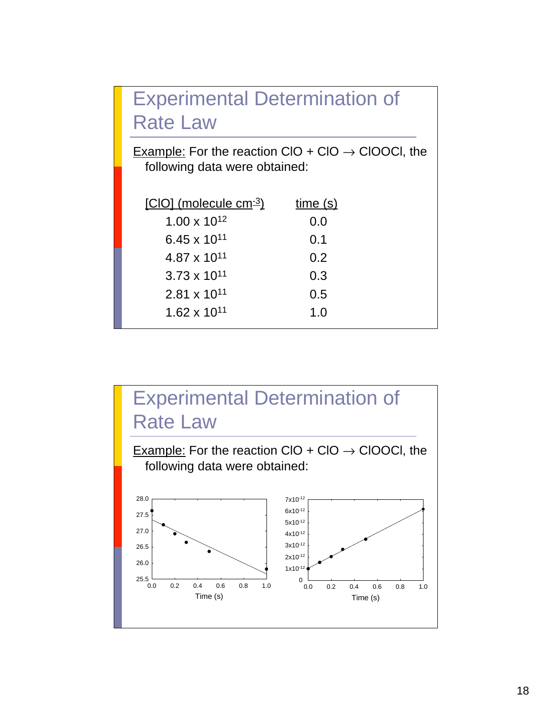| <b>Experimental Determination of</b><br><b>Rate Law</b>                                               |         |  |  |  |
|-------------------------------------------------------------------------------------------------------|---------|--|--|--|
| <b>Example:</b> For the reaction CIO + CIO $\rightarrow$ CIOOCI, the<br>following data were obtained: |         |  |  |  |
| $[ClO]$ (molecule $cm-3$ )                                                                            | time(s) |  |  |  |
| $1.00 \times 10^{12}$                                                                                 | 0.0     |  |  |  |
| 6.45 x 10 <sup>11</sup>                                                                               | 0.1     |  |  |  |
| $4.87 \times 10^{11}$                                                                                 | 0.2     |  |  |  |
| $3.73 \times 10^{11}$                                                                                 | 0.3     |  |  |  |
| $2.81 \times 10^{11}$                                                                                 | 0.5     |  |  |  |
| $1.62 \times 10^{11}$                                                                                 | 1.0     |  |  |  |

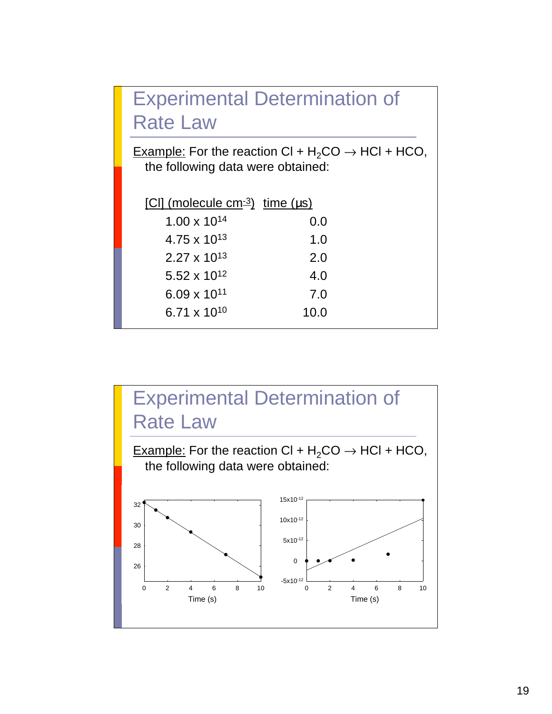Example: For the reaction Cl +  $H_2CO \rightarrow HCl$  + HCO, the following data were obtained:

| $[C1]$ (molecule cm <sup>-3</sup> ) time ( $\mu$ s) |      |  |
|-----------------------------------------------------|------|--|
| $1.00 \times 10^{14}$                               | 0.0  |  |
| 4.75 x $10^{13}$                                    | 1.0  |  |
| $2.27 \times 10^{13}$                               | 2.0  |  |
| 5.52 x $10^{12}$                                    | 4.0  |  |
| $6.09 \times 10^{11}$                               | 7.0  |  |
| 6.71 x $10^{10}$                                    | 10.0 |  |
|                                                     |      |  |

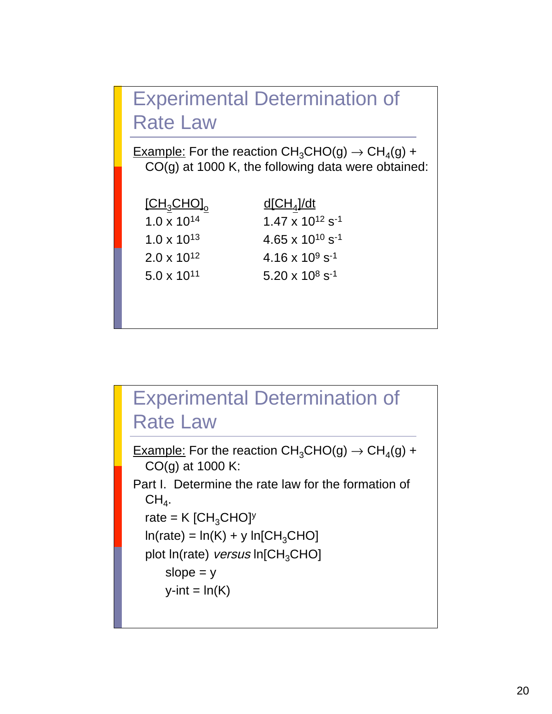

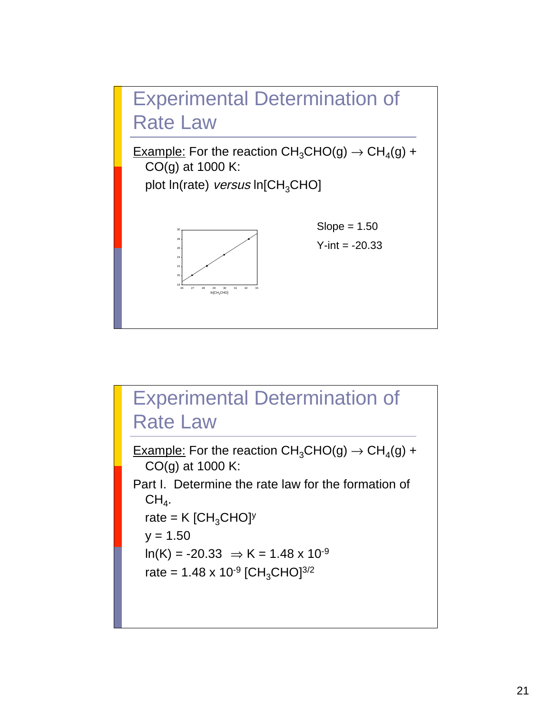

#### Experimental Determination of Rate Law Example: For the reaction  $CH_3CHO(g) \rightarrow CH_4(g) +$ CO(g) at 1000 K: Part I. Determine the rate law for the formation of  $CH<sub>4</sub>$ . rate =  $K$  [CH<sub>3</sub>CHO]<sup>y</sup>  $y = 1.50$  $ln(K) = -20.33 \implies K = 1.48 \times 10^{-9}$ rate =  $1.48 \times 10^{-9}$  [CH<sub>3</sub>CHO]<sup>3/2</sup>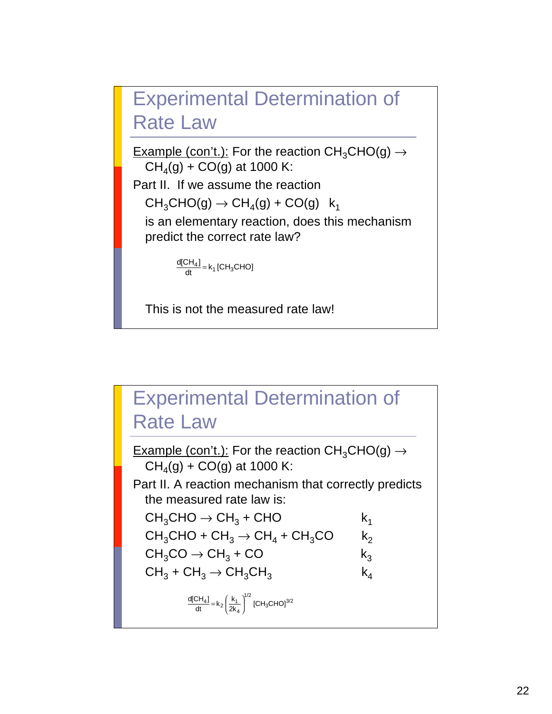Example (con't.): For the reaction  $CH_3CHO(g) \rightarrow$  $CH<sub>4</sub>(g) + CO(g)$  at 1000 K: Part II. If we assume the reaction  $CH_3CHO(g) \rightarrow CH_4(g) + CO(g)$  k<sub>1</sub> is an elementary reaction, does this mechanism predict the correct rate law?  $\frac{d[CH_4]}{dt}$ =k<sub>1</sub> [CH<sub>3</sub>CHO]

This is not the measured rate law!

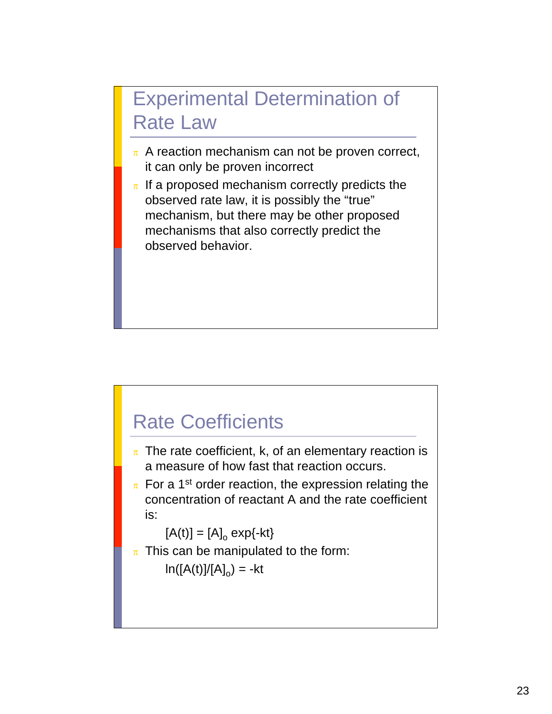- $\pi$  A reaction mechanism can not be proven correct, it can only be proven incorrect
- $\pi$  If a proposed mechanism correctly predicts the observed rate law, it is possibly the "true" mechanism, but there may be other proposed mechanisms that also correctly predict the observed behavior.

#### Rate Coefficients

- $\pi$  The rate coefficient, k, of an elementary reaction is a measure of how fast that reaction occurs.
- $\pi$  For a 1<sup>st</sup> order reaction, the expression relating the concentration of reactant A and the rate coefficient is:

 $[A(t)] = [A]_0 \exp{-kt}$ 

 $\pi$  This can be manipulated to the form:

 $ln([A(t)]/[A]_{o}) = -kt$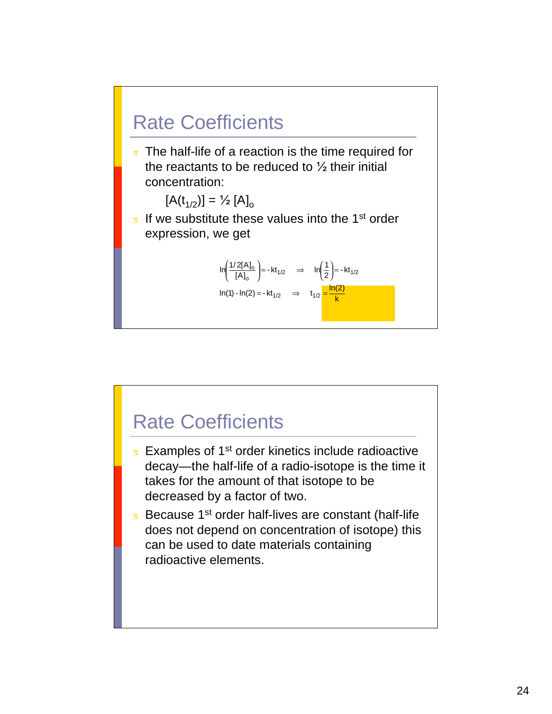#### Rate Coefficients

 $\pi$  The half-life of a reaction is the time required for the reactants to be reduced to  $\frac{1}{2}$  their initial concentration:

 $[A(t_{1/2})] = \frac{1}{2} [A]_{0}$ 

 $\pi$  If we substitute these values into the 1<sup>st</sup> order expression, we get

$$
\ln\left(\frac{1/2[A]_0}{[A]_0}\right) = -kt_{1/2} \implies \ln\left(\frac{1}{2}\right) = -kt_{1/2}
$$
  

$$
\ln(1) - \ln(2) = -kt_{1/2} \implies t_{1/2} = \frac{\ln(2)}{k}
$$

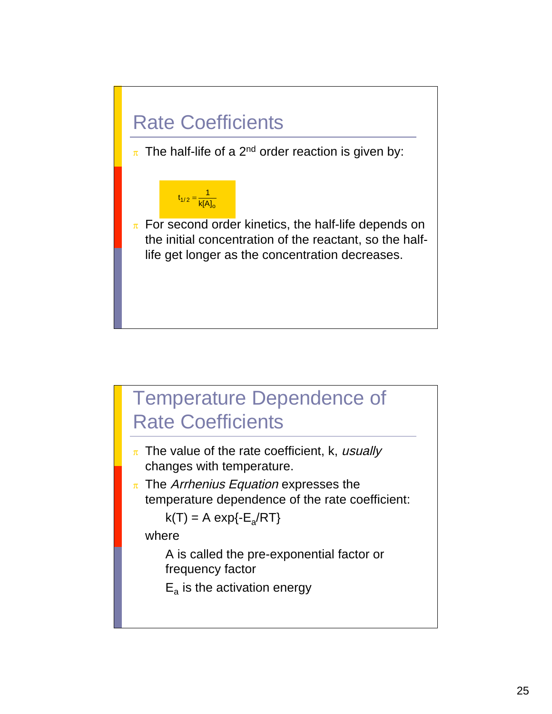

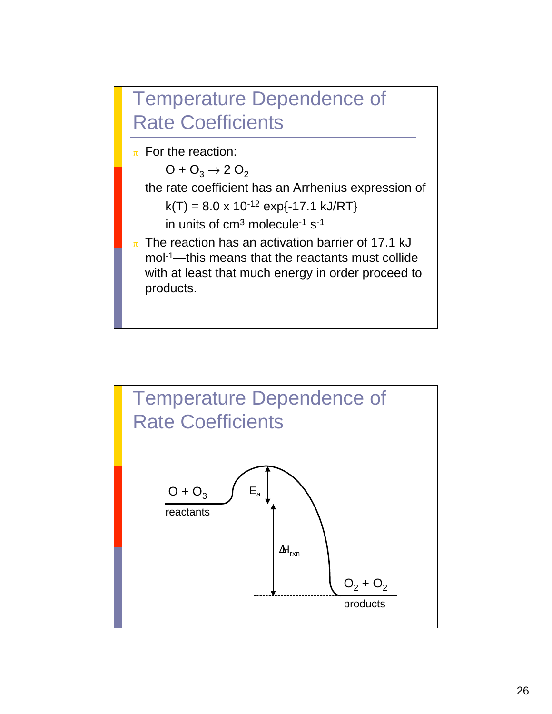#### Temperature Dependence of Rate Coefficients



```
O + O_3 \rightarrow 2 O_2
```
the rate coefficient has an Arrhenius expression of

```
k(T) = 8.0 \times 10^{-12} \exp\{-17.1 \text{ kJ/RT}\}
```
- in units of  $cm<sup>3</sup>$  molecule<sup>-1</sup> s<sup>-1</sup>
- $\pi$  The reaction has an activation barrier of 17.1 kJ mol-1—this means that the reactants must collide with at least that much energy in order proceed to products.

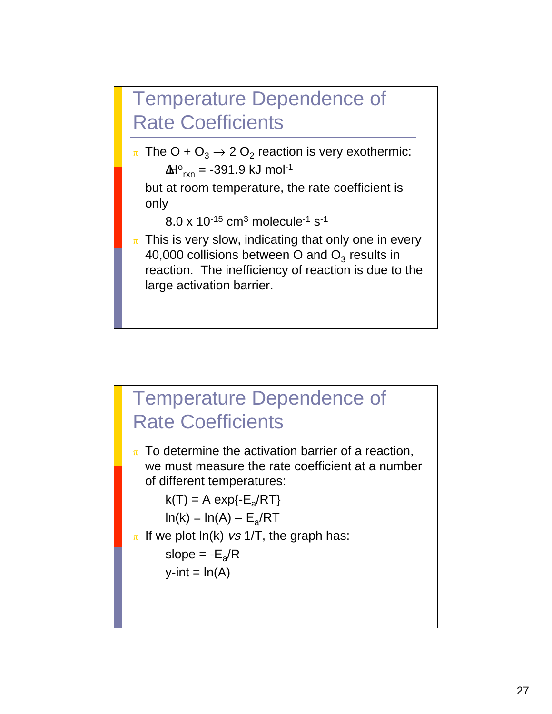#### Temperature Dependence of Rate Coefficients

 $\pi$  The O + O<sub>3</sub>  $\rightarrow$  2 O<sub>2</sub> reaction is very exothermic:  $\Delta H^{\circ}$ <sub>rxn</sub> = -391.9 kJ mol<sup>-1</sup>

but at room temperature, the rate coefficient is only

 $8.0 \times 10^{-15}$  cm<sup>3</sup> molecule<sup>-1</sup> s<sup>-1</sup>

 $\pi$  This is very slow, indicating that only one in every 40,000 collisions between O and  $O_3$  results in reaction. The inefficiency of reaction is due to the large activation barrier.

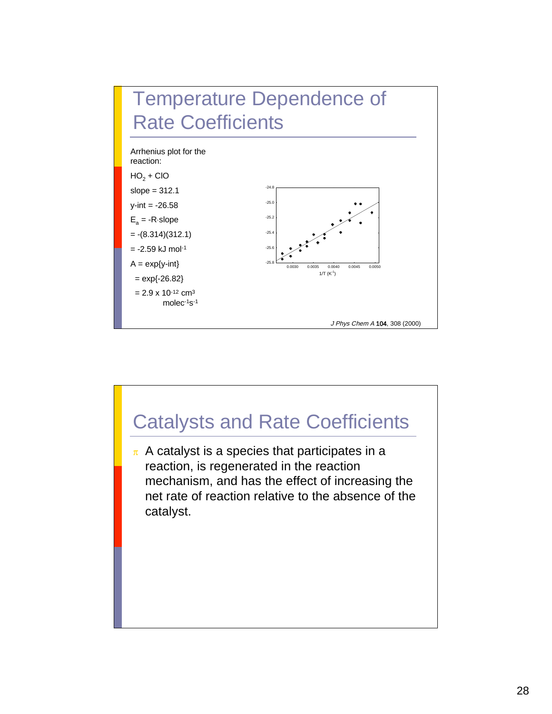

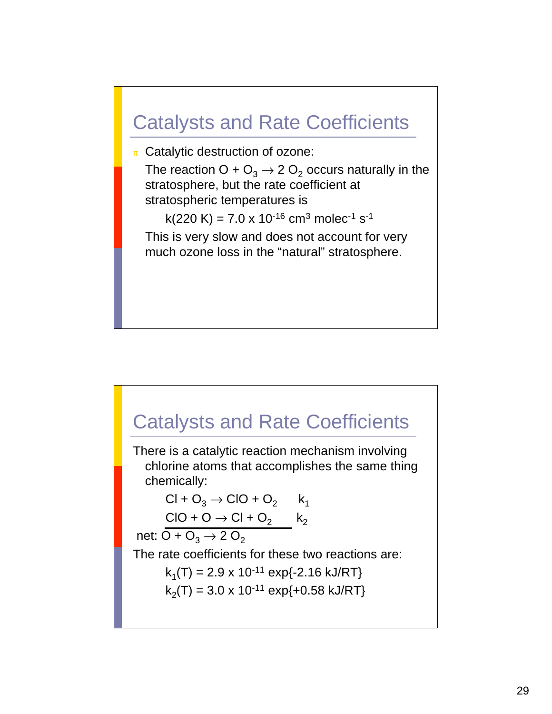## Catalysts and Rate Coefficients

 $\pi$  Catalytic destruction of ozone:

The reaction  $O + O_3 \rightarrow 2 O_2$  occurs naturally in the stratosphere, but the rate coefficient at stratospheric temperatures is

 $k(220 K) = 7.0 \times 10^{-16}$  cm<sup>3</sup> molec<sup>-1</sup> s<sup>-1</sup>

This is very slow and does not account for very much ozone loss in the "natural" stratosphere.

## Catalysts and Rate Coefficients

There is a catalytic reaction mechanism involving chlorine atoms that accomplishes the same thing chemically:

$$
Cl + O_3 \rightarrow ClO + O_2 \qquad k_1
$$

$$
ClO + O \rightarrow Cl + O_2 \qquad k_2
$$

net:  $O + O_3 \rightarrow 2 O_2$ 

The rate coefficients for these two reactions are:

 $k_1(T) = 2.9 \times 10^{-11} \exp\{-2.16 \text{ kJ/RT}\}$ 

 $k_2(T) = 3.0 \times 10^{-11} \exp\{-0.58 \text{ kJ/RT}\}$